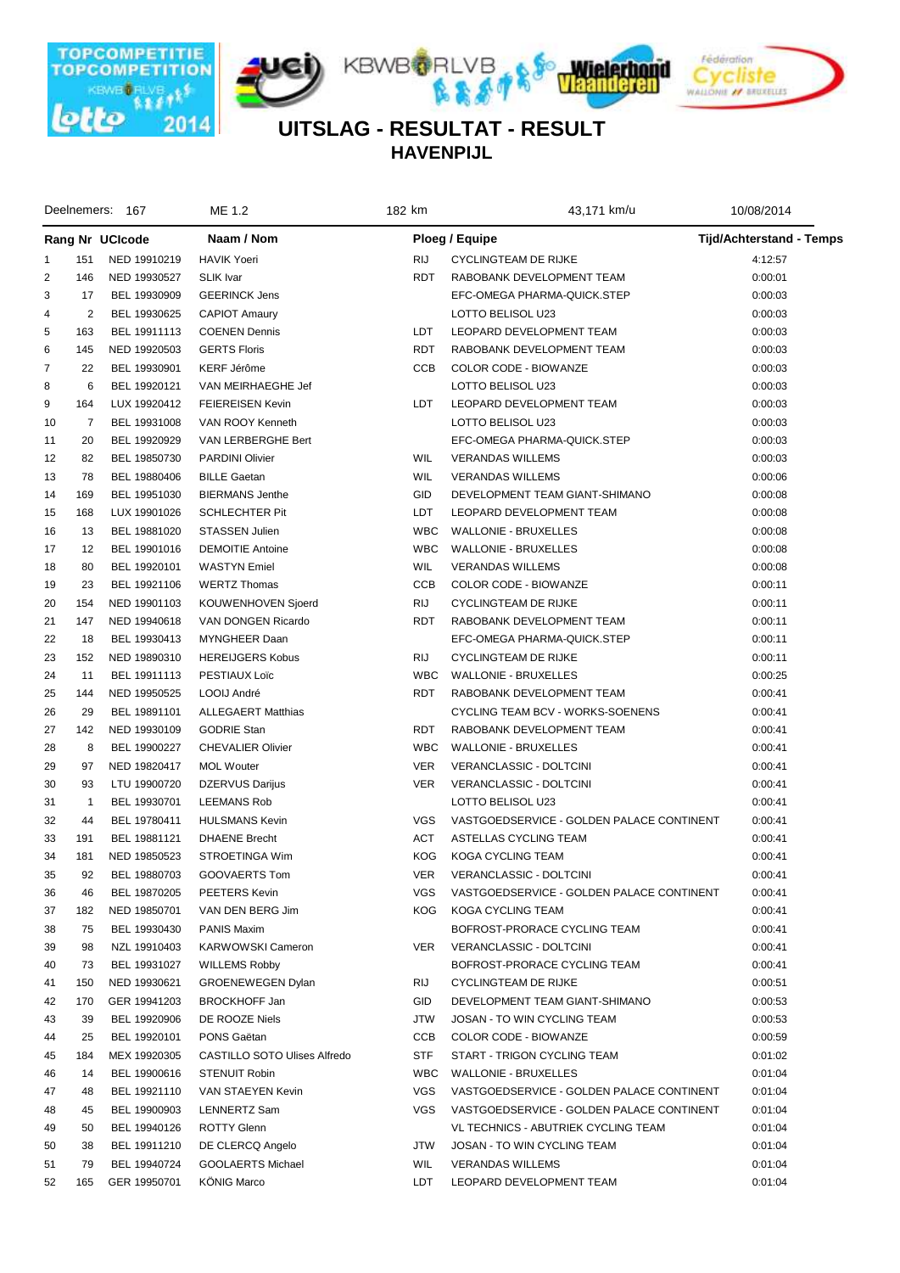

**HAVENPIJL UITSLAG - RESULTAT - RESULT**

|                |                | Deelnemers: 167              | ME 1.2                       | 182 km     | 43,171 km/u                               | 10/08/2014                      |  |
|----------------|----------------|------------------------------|------------------------------|------------|-------------------------------------------|---------------------------------|--|
|                |                | Rang Nr UCIcode              | Naam / Nom                   |            | Ploeg / Equipe                            | <b>Tijd/Achterstand - Temps</b> |  |
| 1              | 151            | NED 19910219                 | <b>HAVIK Yoeri</b>           | <b>RIJ</b> | <b>CYCLINGTEAM DE RIJKE</b>               | 4:12:57                         |  |
| $\overline{2}$ | 146            | NED 19930527                 | <b>SLIK</b> Ivar             | <b>RDT</b> | RABOBANK DEVELOPMENT TEAM                 | 0:00:01                         |  |
| 3              | 17             | BEL 19930909                 | <b>GEERINCK Jens</b>         |            | EFC-OMEGA PHARMA-QUICK.STEP               | 0:00:03                         |  |
| 4              | 2              | BEL 19930625                 | <b>CAPIOT Amaury</b>         |            | LOTTO BELISOL U23                         | 0:00:03                         |  |
| 5              | 163            | BEL 19911113                 | <b>COENEN Dennis</b>         | LDT        | LEOPARD DEVELOPMENT TEAM                  | 0:00:03                         |  |
| 6              | 145            | NED 19920503                 | <b>GERTS Floris</b>          | RDT        | RABOBANK DEVELOPMENT TEAM                 | 0:00:03                         |  |
| $\overline{7}$ | 22             | BEL 19930901                 | KERF Jérôme                  | <b>CCB</b> | COLOR CODE - BIOWANZE                     | 0:00:03                         |  |
| 8              | 6              | BEL 19920121                 | VAN MEIRHAEGHE Jef           |            | LOTTO BELISOL U23                         | 0:00:03                         |  |
| 9              | 164            | LUX 19920412                 | <b>FEIEREISEN Kevin</b>      | LDT        | LEOPARD DEVELOPMENT TEAM                  | 0:00:03                         |  |
| 10             | 7              | BEL 19931008                 | VAN ROOY Kenneth             |            | LOTTO BELISOL U23                         | 0:00:03                         |  |
| 11             | 20             | BEL 19920929                 | VAN LERBERGHE Bert           |            | EFC-OMEGA PHARMA-QUICK.STEP               | 0:00:03                         |  |
| 12             | 82             | BEL 19850730                 | <b>PARDINI Olivier</b>       | WIL        | <b>VERANDAS WILLEMS</b>                   | 0:00:03                         |  |
| 13             | 78             | BEL 19880406                 | <b>BILLE Gaetan</b>          | WIL        | <b>VERANDAS WILLEMS</b>                   | 0:00:06                         |  |
| 14             | 169            | BEL 19951030                 | <b>BIERMANS Jenthe</b>       | <b>GID</b> | DEVELOPMENT TEAM GIANT-SHIMANO            | 0:00:08                         |  |
| 15             | 168            | LUX 19901026                 | <b>SCHLECHTER Pit</b>        | LDT        | LEOPARD DEVELOPMENT TEAM                  | 0:00:08                         |  |
| 16             | 13             | BEL 19881020                 | <b>STASSEN Julien</b>        | <b>WBC</b> | <b>WALLONIE - BRUXELLES</b>               | 0:00:08                         |  |
| 17             | 12             | BEL 19901016                 | <b>DEMOITIE Antoine</b>      | <b>WBC</b> | <b>WALLONIE - BRUXELLES</b>               | 0:00:08                         |  |
| 18             | 80             | BEL 19920101                 | <b>WASTYN</b> Emiel          | WIL        | <b>VERANDAS WILLEMS</b>                   | 0:00:08                         |  |
| 19             | 23             | BEL 19921106                 | <b>WERTZ Thomas</b>          | <b>CCB</b> | COLOR CODE - BIOWANZE                     | 0:00:11                         |  |
| 20             | 154            | NED 19901103                 | KOUWENHOVEN Sjoerd           | <b>RIJ</b> | <b>CYCLINGTEAM DE RIJKE</b>               | 0:00:11                         |  |
| 21             | 147            | NED 19940618                 | VAN DONGEN Ricardo           | <b>RDT</b> | RABOBANK DEVELOPMENT TEAM                 | 0:00:11                         |  |
| 22             | 18             | BEL 19930413                 | MYNGHEER Daan                |            | EFC-OMEGA PHARMA-QUICK.STEP               | 0:00:11                         |  |
| 23             | 152            | NED 19890310                 | <b>HEREIJGERS Kobus</b>      | <b>RIJ</b> | <b>CYCLINGTEAM DE RIJKE</b>               | 0:00:11                         |  |
| 24             | 11             | BEL 19911113                 | PESTIAUX Loïc                | <b>WBC</b> | <b>WALLONIE - BRUXELLES</b>               | 0:00:25                         |  |
| 25             | 144            | NED 19950525                 | LOOIJ André                  | <b>RDT</b> | RABOBANK DEVELOPMENT TEAM                 | 0:00:41                         |  |
| 26             | 29             | BEL 19891101                 | <b>ALLEGAERT Matthias</b>    |            | CYCLING TEAM BCV - WORKS-SOENENS          | 0:00:41                         |  |
| 27             | 142            | NED 19930109                 | <b>GODRIE Stan</b>           | <b>RDT</b> | RABOBANK DEVELOPMENT TEAM                 | 0:00:41                         |  |
| 28             | 8              | BEL 19900227                 | <b>CHEVALIER Olivier</b>     | <b>WBC</b> | <b>WALLONIE - BRUXELLES</b>               | 0:00:41                         |  |
| 29             | 97             | NED 19820417                 | <b>MOL Wouter</b>            | <b>VER</b> | VERANCLASSIC - DOLTCINI                   | 0:00:41                         |  |
| 30             | 93             | LTU 19900720                 | <b>DZERVUS Darijus</b>       | <b>VER</b> | VERANCLASSIC - DOLTCINI                   | 0:00:41                         |  |
| 31             | $\overline{1}$ | BEL 19930701                 | <b>LEEMANS Rob</b>           |            | LOTTO BELISOL U23                         | 0:00:41                         |  |
| 32             | 44             | BEL 19780411                 | <b>HULSMANS Kevin</b>        | <b>VGS</b> | VASTGOEDSERVICE - GOLDEN PALACE CONTINENT | 0:00:41                         |  |
| 33             | 191            | BEL 19881121                 | <b>DHAENE Brecht</b>         | <b>ACT</b> | ASTELLAS CYCLING TEAM                     | 0:00:41                         |  |
| 34             | 181            | NED 19850523                 | STROETINGA Wim               | <b>KOG</b> | KOGA CYCLING TEAM                         | 0:00:41                         |  |
| 35             | 92             | BEL 19880703                 | GOOVAERTS Tom                | <b>VER</b> | <b>VERANCLASSIC - DOLTCINI</b>            | 0:00:41                         |  |
|                | 46             |                              | PEETERS Kevin                | VGS        | VASTGOEDSERVICE - GOLDEN PALACE CONTINENT | 0:00:41                         |  |
| 36<br>37       | 182            | BEL 19870205<br>NED 19850701 | VAN DEN BERG Jim             | <b>KOG</b> | KOGA CYCLING TEAM                         | 0:00:41                         |  |
| 38             | 75             | BEL 19930430                 | PANIS Maxim                  |            | BOFROST-PRORACE CYCLING TEAM              | 0:00:41                         |  |
|                |                |                              | <b>KARWOWSKI Cameron</b>     | <b>VER</b> | VERANCLASSIC - DOLTCINI                   | 0:00:41                         |  |
| 39             | 98             | NZL 19910403                 |                              |            | BOFROST-PRORACE CYCLING TEAM              |                                 |  |
| 40             | 73             | BEL 19931027<br>NED 19930621 | <b>WILLEMS Robby</b>         |            |                                           | 0:00:41                         |  |
| 41             | 150            |                              | <b>GROENEWEGEN Dylan</b>     | RIJ        | <b>CYCLINGTEAM DE RIJKE</b>               | 0:00:51                         |  |
| 42             | 170            | GER 19941203                 | <b>BROCKHOFF Jan</b>         | <b>GID</b> | DEVELOPMENT TEAM GIANT-SHIMANO            | 0:00:53                         |  |
| 43             | 39             | BEL 19920906                 | DE ROOZE Niels               | <b>JTW</b> | JOSAN - TO WIN CYCLING TEAM               | 0:00:53                         |  |
| 44             | 25             | BEL 19920101                 | PONS Gaëtan                  | CCB        | COLOR CODE - BIOWANZE                     | 0:00:59                         |  |
| 45             | 184            | MEX 19920305                 | CASTILLO SOTO Ulises Alfredo | <b>STF</b> | START - TRIGON CYCLING TEAM               | 0:01:02                         |  |
| 46             | 14             | BEL 19900616                 | <b>STENUIT Robin</b>         | <b>WBC</b> | <b>WALLONIE - BRUXELLES</b>               | 0:01:04                         |  |
| 47             | 48             | BEL 19921110                 | VAN STAEYEN Kevin            | <b>VGS</b> | VASTGOEDSERVICE - GOLDEN PALACE CONTINENT | 0:01:04                         |  |
| 48             | 45             | BEL 19900903                 | LENNERTZ Sam                 | <b>VGS</b> | VASTGOEDSERVICE - GOLDEN PALACE CONTINENT | 0:01:04                         |  |
| 49             | 50             | BEL 19940126                 | <b>ROTTY Glenn</b>           |            | VL TECHNICS - ABUTRIEK CYCLING TEAM       | 0:01:04                         |  |
| 50             | 38             | BEL 19911210                 | DE CLERCQ Angelo             | <b>JTW</b> | JOSAN - TO WIN CYCLING TEAM               | 0:01:04                         |  |
| 51             | 79             | BEL 19940724                 | GOOLAERTS Michael            | <b>WIL</b> | <b>VERANDAS WILLEMS</b>                   | 0:01:04                         |  |
| 52             | 165            | GER 19950701                 | <b>KÖNIG Marco</b>           | LDT        | LEOPARD DEVELOPMENT TEAM                  | 0:01:04                         |  |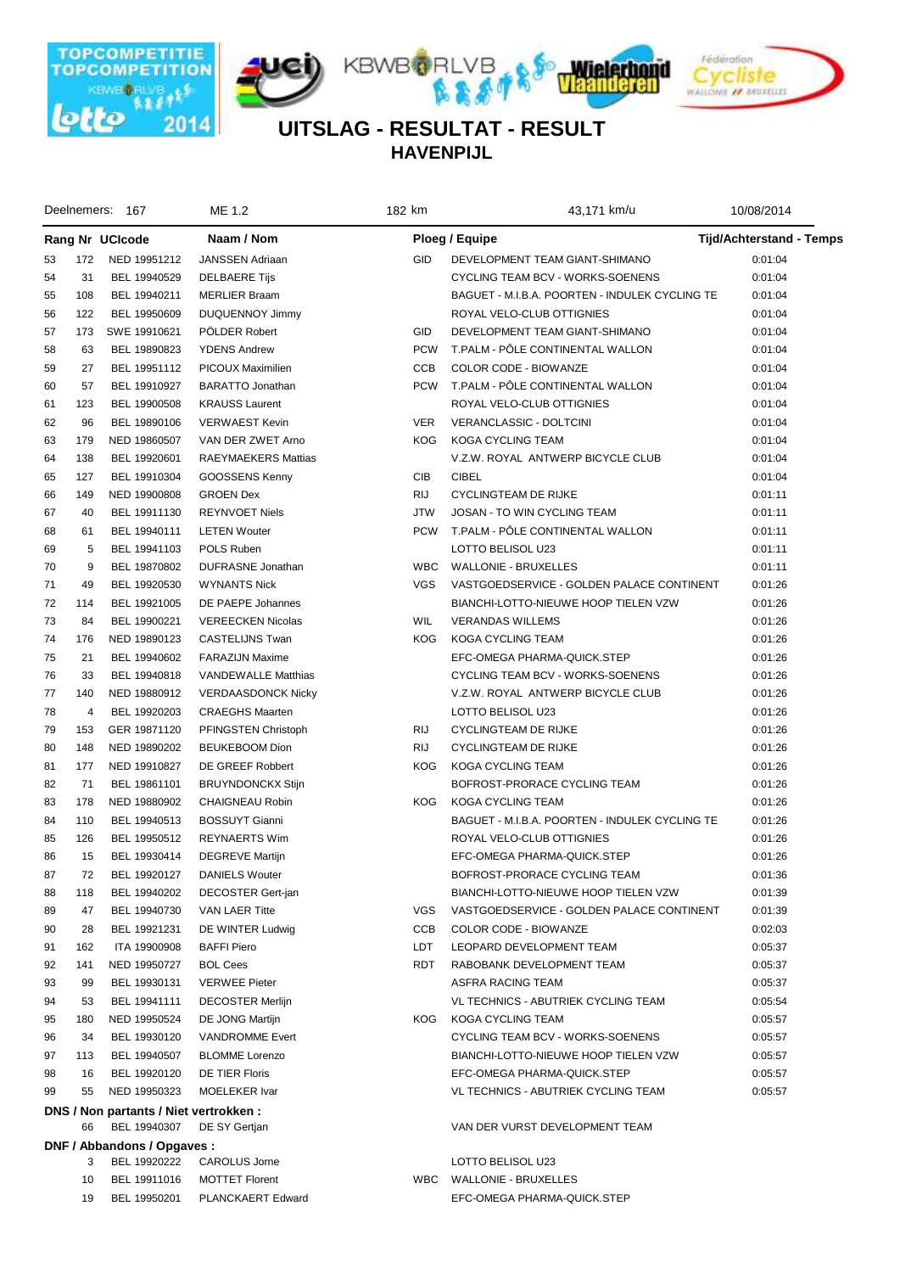

**HAVENPIJL UITSLAG - RESULTAT - RESULT**

|    |     | Deelnemers: 167                                       | ME 1.2                     | 182 km     | 43,171 km/u                                    | 10/08/2014                      |  |
|----|-----|-------------------------------------------------------|----------------------------|------------|------------------------------------------------|---------------------------------|--|
|    |     | Rang Nr UCIcode                                       | Naam / Nom                 |            | Ploeg / Equipe                                 | <b>Tijd/Achterstand - Temps</b> |  |
| 53 | 172 | NED 19951212                                          | <b>JANSSEN Adriaan</b>     | <b>GID</b> | DEVELOPMENT TEAM GIANT-SHIMANO                 | 0:01:04                         |  |
| 54 | 31  | BEL 19940529                                          | <b>DELBAERE Tijs</b>       |            | CYCLING TEAM BCV - WORKS-SOENENS               | 0:01:04                         |  |
| 55 | 108 | BEL 19940211                                          | <b>MERLIER Braam</b>       |            | BAGUET - M.I.B.A. POORTEN - INDULEK CYCLING TE | 0:01:04                         |  |
| 56 | 122 | BEL 19950609                                          | DUQUENNOY Jimmy            |            | ROYAL VELO-CLUB OTTIGNIES                      | 0:01:04                         |  |
| 57 | 173 | SWE 19910621                                          | POLDER Robert              | <b>GID</b> | DEVELOPMENT TEAM GIANT-SHIMANO                 | 0:01:04                         |  |
| 58 | 63  | BEL 19890823                                          | <b>YDENS Andrew</b>        | <b>PCW</b> | T.PALM - PÖLE CONTINENTAL WALLON               | 0:01:04                         |  |
| 59 | 27  | BEL 19951112                                          | PICOUX Maximilien          | <b>CCB</b> | COLOR CODE - BIOWANZE                          | 0:01:04                         |  |
| 60 | 57  | BEL 19910927                                          | <b>BARATTO Jonathan</b>    | <b>PCW</b> | T.PALM - PÔLE CONTINENTAL WALLON               | 0:01:04                         |  |
| 61 | 123 | BEL 19900508                                          | <b>KRAUSS Laurent</b>      |            | ROYAL VELO-CLUB OTTIGNIES                      | 0:01:04                         |  |
| 62 | 96  | BEL 19890106                                          | <b>VERWAEST Kevin</b>      | <b>VER</b> | VERANCLASSIC - DOLTCINI                        | 0:01:04                         |  |
| 63 | 179 | NED 19860507                                          | VAN DER ZWET Arno          | <b>KOG</b> | KOGA CYCLING TEAM                              | 0:01:04                         |  |
| 64 | 138 | BEL 19920601                                          | RAEYMAEKERS Mattias        |            | V.Z.W. ROYAL ANTWERP BICYCLE CLUB              | 0:01:04                         |  |
| 65 | 127 | BEL 19910304                                          | GOOSSENS Kenny             | CIB        | <b>CIBEL</b>                                   | 0:01:04                         |  |
| 66 | 149 | NED 19900808                                          | <b>GROEN Dex</b>           | <b>RIJ</b> | <b>CYCLINGTEAM DE RIJKE</b>                    | 0:01:11                         |  |
| 67 | 40  | BEL 19911130                                          | <b>REYNVOET Niels</b>      | <b>JTW</b> | JOSAN - TO WIN CYCLING TEAM                    | 0:01:11                         |  |
| 68 | 61  | BEL 19940111                                          | <b>LETEN Wouter</b>        | <b>PCW</b> | T.PALM - PÖLE CONTINENTAL WALLON               | 0:01:11                         |  |
| 69 | 5   | BEL 19941103                                          | POLS Ruben                 |            | LOTTO BELISOL U23                              | 0:01:11                         |  |
| 70 | 9   | BEL 19870802                                          | DUFRASNE Jonathan          | <b>WBC</b> | WALLONIE - BRUXELLES                           | 0:01:11                         |  |
| 71 | 49  | BEL 19920530                                          | <b>WYNANTS Nick</b>        | <b>VGS</b> | VASTGOEDSERVICE - GOLDEN PALACE CONTINENT      | 0:01:26                         |  |
| 72 | 114 | BEL 19921005                                          | DE PAEPE Johannes          |            | BIANCHI-LOTTO-NIEUWE HOOP TIELEN VZW           | 0:01:26                         |  |
| 73 | 84  | BEL 19900221                                          | <b>VEREECKEN Nicolas</b>   | <b>WIL</b> | <b>VERANDAS WILLEMS</b>                        | 0:01:26                         |  |
| 74 | 176 | NED 19890123                                          | <b>CASTELIJNS Twan</b>     | <b>KOG</b> | KOGA CYCLING TEAM                              | 0:01:26                         |  |
| 75 | 21  | BEL 19940602                                          | <b>FARAZIJN Maxime</b>     |            | EFC-OMEGA PHARMA-QUICK.STEP                    | 0:01:26                         |  |
| 76 | 33  | BEL 19940818                                          | <b>VANDEWALLE Matthias</b> |            | CYCLING TEAM BCV - WORKS-SOENENS               | 0:01:26                         |  |
| 77 | 140 | NED 19880912                                          | <b>VERDAASDONCK Nicky</b>  |            | V.Z.W. ROYAL ANTWERP BICYCLE CLUB              | 0:01:26                         |  |
| 78 | 4   | BEL 19920203                                          | <b>CRAEGHS Maarten</b>     |            | LOTTO BELISOL U23                              | 0:01:26                         |  |
| 79 | 153 | GER 19871120                                          | PFINGSTEN Christoph        | RIJ        | <b>CYCLINGTEAM DE RIJKE</b>                    | 0:01:26                         |  |
| 80 | 148 | NED 19890202                                          | <b>BEUKEBOOM Dion</b>      | <b>RIJ</b> | <b>CYCLINGTEAM DE RIJKE</b>                    | 0:01:26                         |  |
| 81 | 177 | NED 19910827                                          | DE GREEF Robbert           | <b>KOG</b> | KOGA CYCLING TEAM                              | 0:01:26                         |  |
| 82 | 71  | BEL 19861101                                          | <b>BRUYNDONCKX Stijn</b>   |            | BOFROST-PRORACE CYCLING TEAM                   | 0:01:26                         |  |
| 83 | 178 | NED 19880902                                          | CHAIGNEAU Robin            | <b>KOG</b> | KOGA CYCLING TEAM                              | 0:01:26                         |  |
| 84 | 110 | BEL 19940513                                          | <b>BOSSUYT Gianni</b>      |            | BAGUET - M.I.B.A. POORTEN - INDULEK CYCLING TE | 0:01:26                         |  |
| 85 | 126 | BEL 19950512                                          | <b>REYNAERTS Wim</b>       |            | ROYAL VELO-CLUB OTTIGNIES                      | 0:01:26                         |  |
| 86 | 15  | BEL 19930414                                          | <b>DEGREVE Martijn</b>     |            | EFC-OMEGA PHARMA-QUICK.STEP                    | 0:01:26                         |  |
| 87 | 72  | BEL 19920127                                          | <b>DANIELS Wouter</b>      |            | BOFROST-PRORACE CYCLING TEAM                   | 0:01:36                         |  |
| 88 | 118 | BEL 19940202                                          | DECOSTER Gert-jan          |            | BIANCHI-LOTTO-NIEUWE HOOP TIELEN VZW           | 0:01:39                         |  |
| 89 | 47  | BEL 19940730                                          | <b>VAN LAER Titte</b>      | VGS        | VASTGOEDSERVICE - GOLDEN PALACE CONTINENT      | 0:01:39                         |  |
| 90 | 28  | BEL 19921231                                          | DE WINTER Ludwig           | CCB        | COLOR CODE - BIOWANZE                          | 0:02:03                         |  |
| 91 | 162 | ITA 19900908                                          | <b>BAFFI Piero</b>         | LDT        | LEOPARD DEVELOPMENT TEAM                       | 0:05:37                         |  |
| 92 | 141 | NED 19950727                                          | <b>BOL Cees</b>            | RDT        | RABOBANK DEVELOPMENT TEAM                      | 0:05:37                         |  |
| 93 | 99  | BEL 19930131                                          | <b>VERWEE Pieter</b>       |            | ASFRA RACING TEAM                              | 0:05:37                         |  |
| 94 | 53  | BEL 19941111                                          | <b>DECOSTER Merlijn</b>    |            | VL TECHNICS - ABUTRIEK CYCLING TEAM            | 0:05:54                         |  |
| 95 | 180 | NED 19950524                                          | DE JONG Martijn            | KOG.       | KOGA CYCLING TEAM                              | 0:05:57                         |  |
| 96 | 34  | BEL 19930120                                          | <b>VANDROMME Evert</b>     |            | CYCLING TEAM BCV - WORKS-SOENENS               | 0:05:57                         |  |
| 97 | 113 | BEL 19940507                                          | <b>BLOMME</b> Lorenzo      |            | BIANCHI-LOTTO-NIEUWE HOOP TIELEN VZW           | 0:05:57                         |  |
| 98 | 16  | BEL 19920120                                          | DE TIER Floris             |            | EFC-OMEGA PHARMA-QUICK.STEP                    | 0:05:57                         |  |
| 99 | 55  | NED 19950323                                          | <b>MOELEKER Ivar</b>       |            | VL TECHNICS - ABUTRIEK CYCLING TEAM            | 0:05:57                         |  |
|    | 66  | DNS / Non partants / Niet vertrokken:<br>BEL 19940307 | DE SY Gertjan              |            | VAN DER VURST DEVELOPMENT TEAM                 |                                 |  |
|    |     | DNF / Abbandons / Opgaves:                            |                            |            |                                                |                                 |  |
|    | 3   | BEL 19920222                                          | <b>CAROLUS Jorne</b>       |            | LOTTO BELISOL U23                              |                                 |  |
|    | 10  | BEL 19911016                                          | <b>MOTTET Florent</b>      | <b>WBC</b> | <b>WALLONIE - BRUXELLES</b>                    |                                 |  |
|    | 19  | BEL 19950201                                          | PLANCKAERT Edward          |            | EFC-OMEGA PHARMA-QUICK.STEP                    |                                 |  |
|    |     |                                                       |                            |            |                                                |                                 |  |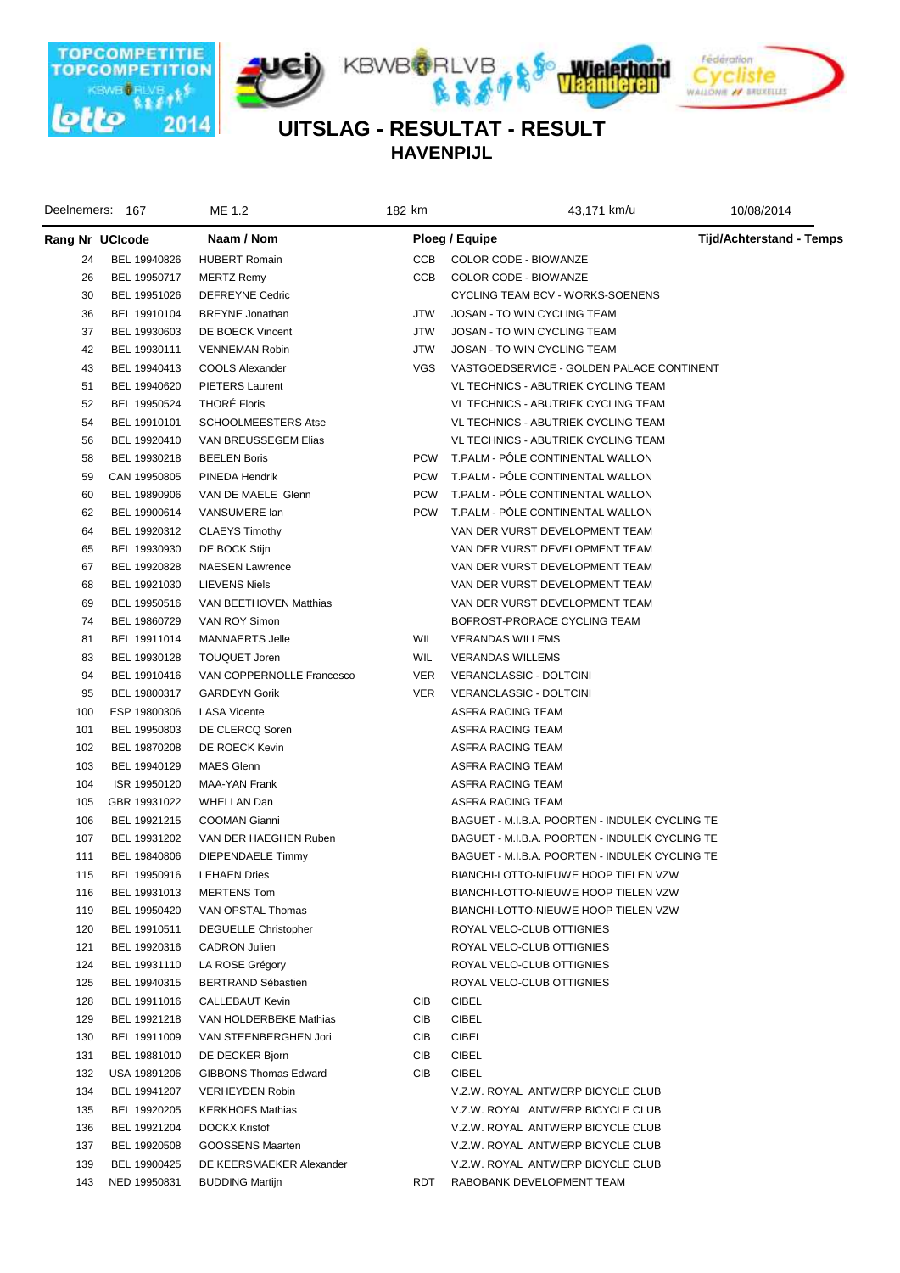

**HAVENPIJL UITSLAG - RESULTAT - RESULT**

|     | Deelnemers: 167 | ME 1.2                       | 182 km     | 43,171 km/u                                    | 10/08/2014               |
|-----|-----------------|------------------------------|------------|------------------------------------------------|--------------------------|
|     | Rang Nr UCIcode | Naam / Nom                   |            | Ploeg / Equipe                                 | Tijd/Achterstand - Temps |
| 24  | BEL 19940826    | <b>HUBERT Romain</b>         | CCB        | COLOR CODE - BIOWANZE                          |                          |
| 26  | BEL 19950717    | <b>MERTZ Remy</b>            | CCB        | COLOR CODE - BIOWANZE                          |                          |
| 30  | BEL 19951026    | DEFREYNE Cedric              |            | CYCLING TEAM BCV - WORKS-SOENENS               |                          |
| 36  | BEL 19910104    | <b>BREYNE</b> Jonathan       | JTW        | JOSAN - TO WIN CYCLING TEAM                    |                          |
| 37  | BEL 19930603    | DE BOECK Vincent             | JTW        | JOSAN - TO WIN CYCLING TEAM                    |                          |
| 42  | BEL 19930111    | VENNEMAN Robin               | JTW        | JOSAN - TO WIN CYCLING TEAM                    |                          |
| 43  | BEL 19940413    | COOLS Alexander              | VGS        | VASTGOEDSERVICE - GOLDEN PALACE CONTINENT      |                          |
| 51  | BEL 19940620    | <b>PIETERS Laurent</b>       |            | VL TECHNICS - ABUTRIEK CYCLING TEAM            |                          |
| 52  | BEL 19950524    | <b>THORE Floris</b>          |            | VL TECHNICS - ABUTRIEK CYCLING TEAM            |                          |
| 54  | BEL 19910101    | <b>SCHOOLMEESTERS Atse</b>   |            | VL TECHNICS - ABUTRIEK CYCLING TEAM            |                          |
| 56  | BEL 19920410    | VAN BREUSSEGEM Elias         |            | VL TECHNICS - ABUTRIEK CYCLING TEAM            |                          |
| 58  | BEL 19930218    | <b>BEELEN Boris</b>          | <b>PCW</b> | T.PALM - POLE CONTINENTAL WALLON               |                          |
| 59  | CAN 19950805    | PINEDA Hendrik               | <b>PCW</b> | T.PALM - PÖLE CONTINENTAL WALLON               |                          |
| 60  | BEL 19890906    | VAN DE MAELE Glenn           | <b>PCW</b> | T.PALM - PÖLE CONTINENTAL WALLON               |                          |
| 62  | BEL 19900614    | VANSUMERE lan                | <b>PCW</b> | T.PALM - PÖLE CONTINENTAL WALLON               |                          |
| 64  | BEL 19920312    | <b>CLAEYS Timothy</b>        |            | VAN DER VURST DEVELOPMENT TEAM                 |                          |
| 65  | BEL 19930930    | DE BOCK Stijn                |            | VAN DER VURST DEVELOPMENT TEAM                 |                          |
| 67  | BEL 19920828    | <b>NAESEN Lawrence</b>       |            | VAN DER VURST DEVELOPMENT TEAM                 |                          |
| 68  | BEL 19921030    | <b>LIEVENS Niels</b>         |            | VAN DER VURST DEVELOPMENT TEAM                 |                          |
| 69  | BEL 19950516    | VAN BEETHOVEN Matthias       |            | VAN DER VURST DEVELOPMENT TEAM                 |                          |
| 74  | BEL 19860729    | VAN ROY Simon                |            | BOFROST-PRORACE CYCLING TEAM                   |                          |
| 81  | BEL 19911014    | <b>MANNAERTS Jelle</b>       | WIL        | <b>VERANDAS WILLEMS</b>                        |                          |
| 83  | BEL 19930128    | <b>TOUQUET Joren</b>         | WIL        | <b>VERANDAS WILLEMS</b>                        |                          |
| 94  | BEL 19910416    | VAN COPPERNOLLE Francesco    | <b>VER</b> | VERANCLASSIC - DOLTCINI                        |                          |
| 95  | BEL 19800317    | <b>GARDEYN Gorik</b>         | VER.       | VERANCLASSIC - DOLTCINI                        |                          |
| 100 | ESP 19800306    | <b>LASA Vicente</b>          |            | ASFRA RACING TEAM                              |                          |
| 101 | BEL 19950803    | DE CLERCQ Soren              |            | ASFRA RACING TEAM                              |                          |
| 102 | BEL 19870208    | DE ROECK Kevin               |            | ASFRA RACING TEAM                              |                          |
| 103 | BEL 19940129    | <b>MAES Glenn</b>            |            | ASFRA RACING TEAM                              |                          |
| 104 | ISR 19950120    | MAA-YAN Frank                |            | ASFRA RACING TEAM                              |                          |
| 105 | GBR 19931022    | <b>WHELLAN Dan</b>           |            | ASFRA RACING TEAM                              |                          |
| 106 | BEL 19921215    | <b>COOMAN Gianni</b>         |            | BAGUET - M.I.B.A. POORTEN - INDULEK CYCLING TE |                          |
| 107 | BEL 19931202    | VAN DER HAEGHEN Ruben        |            | BAGUET - M.I.B.A. POORTEN - INDULEK CYCLING TE |                          |
| 111 | BEL 19840806    | DIEPENDAELE Timmy            |            | BAGUET - M.I.B.A. POORTEN - INDULEK CYCLING TE |                          |
| 115 | BEL 19950916    | <b>LEHAEN Dries</b>          |            | BIANCHI-LOTTO-NIEUWE HOOP TIELEN VZW           |                          |
| 116 | BEL 19931013    | <b>MERTENS Tom</b>           |            | BIANCHI-LOTTO-NIEUWE HOOP TIELEN VZW           |                          |
| 119 | BEL 19950420    | VAN OPSTAL Thomas            |            | BIANCHI-LOTTO-NIEUWE HOOP TIELEN VZW           |                          |
| 120 | BEL 19910511    | <b>DEGUELLE Christopher</b>  |            | ROYAL VELO-CLUB OTTIGNIES                      |                          |
| 121 | BEL 19920316    | <b>CADRON Julien</b>         |            | ROYAL VELO-CLUB OTTIGNIES                      |                          |
| 124 | BEL 19931110    | LA ROSE Grégory              |            | ROYAL VELO-CLUB OTTIGNIES                      |                          |
| 125 | BEL 19940315    | <b>BERTRAND Sébastien</b>    |            | ROYAL VELO-CLUB OTTIGNIES                      |                          |
| 128 | BEL 19911016    | CALLEBAUT Kevin              | CIB        | <b>CIBEL</b>                                   |                          |
| 129 | BEL 19921218    | VAN HOLDERBEKE Mathias       | CIB        | <b>CIBEL</b>                                   |                          |
| 130 | BEL 19911009    | VAN STEENBERGHEN Jori        | CIB        | <b>CIBEL</b>                                   |                          |
| 131 | BEL 19881010    | DE DECKER Bjorn              | CIB        | <b>CIBEL</b>                                   |                          |
| 132 | USA 19891206    | <b>GIBBONS Thomas Edward</b> | CIB        | <b>CIBEL</b>                                   |                          |
| 134 | BEL 19941207    | <b>VERHEYDEN Robin</b>       |            | V.Z.W. ROYAL ANTWERP BICYCLE CLUB              |                          |
| 135 | BEL 19920205    | <b>KERKHOFS Mathias</b>      |            | V.Z.W. ROYAL ANTWERP BICYCLE CLUB              |                          |
| 136 | BEL 19921204    | DOCKX Kristof                |            | V.Z.W. ROYAL ANTWERP BICYCLE CLUB              |                          |
| 137 | BEL 19920508    | GOOSSENS Maarten             |            | V.Z.W. ROYAL ANTWERP BICYCLE CLUB              |                          |
| 139 | BEL 19900425    | DE KEERSMAEKER Alexander     |            | V.Z.W. ROYAL ANTWERP BICYCLE CLUB              |                          |
| 143 | NED 19950831    | <b>BUDDING Martijn</b>       | RDT        | RABOBANK DEVELOPMENT TEAM                      |                          |
|     |                 |                              |            |                                                |                          |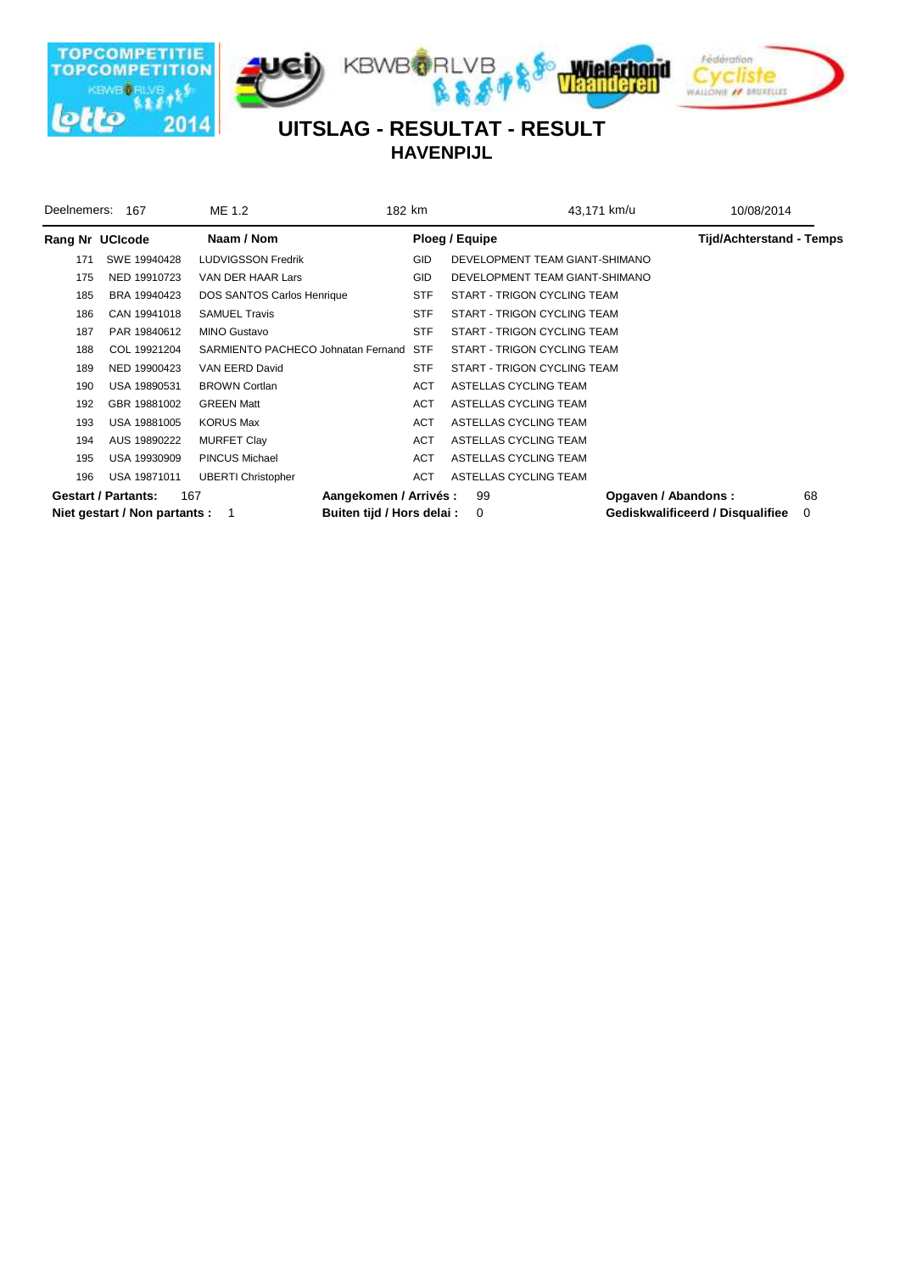

**HAVENPIJL**

| Deelnemers: | 167                             | ME 1.2                             | 182 km     | 43,171 km/u                    | 10/08/2014                       |    |
|-------------|---------------------------------|------------------------------------|------------|--------------------------------|----------------------------------|----|
|             | Rang Nr UCIcode                 | Naam / Nom                         |            | Ploeg / Equipe                 | <b>Tijd/Achterstand - Temps</b>  |    |
| 171         | SWE 19940428                    | LUDVIGSSON Fredrik                 | <b>GID</b> | DEVELOPMENT TEAM GIANT-SHIMANO |                                  |    |
| 175         | NED 19910723                    | VAN DER HAAR Lars                  | <b>GID</b> | DEVELOPMENT TEAM GIANT-SHIMANO |                                  |    |
| 185         | BRA 19940423                    | DOS SANTOS Carlos Henrique         | <b>STF</b> | START - TRIGON CYCLING TEAM    |                                  |    |
| 186         | CAN 19941018                    | <b>SAMUEL Travis</b>               | <b>STF</b> | START - TRIGON CYCLING TEAM    |                                  |    |
| 187         | PAR 19840612                    | <b>MINO Gustavo</b>                | <b>STF</b> | START - TRIGON CYCLING TEAM    |                                  |    |
| 188         | COL 19921204                    | SARMIENTO PACHECO Johnatan Fernand | <b>STF</b> | START - TRIGON CYCLING TEAM    |                                  |    |
| 189         | NED 19900423                    | VAN EERD David                     | <b>STF</b> | START - TRIGON CYCLING TEAM    |                                  |    |
| 190         | USA 19890531                    | <b>BROWN Cortlan</b>               | ACT        | ASTELLAS CYCLING TEAM          |                                  |    |
| 192         | GBR 19881002                    | <b>GREEN Matt</b>                  | <b>ACT</b> | ASTELLAS CYCLING TEAM          |                                  |    |
| 193         | USA 19881005                    | <b>KORUS Max</b>                   | ACT        | ASTELLAS CYCLING TEAM          |                                  |    |
| 194         | AUS 19890222                    | <b>MURFET Clay</b>                 | ACT        | ASTELLAS CYCLING TEAM          |                                  |    |
| 195         | USA 19930909                    | <b>PINCUS Michael</b>              | ACT        | ASTELLAS CYCLING TEAM          |                                  |    |
| 196         | USA 19871011                    | <b>UBERTI Christopher</b>          | <b>ACT</b> | ASTELLAS CYCLING TEAM          |                                  |    |
|             | <b>Gestart / Partants:</b>      | 167<br>Aangekomen / Arrivés :      |            | 99                             | Opgaven / Abandons:              | 68 |
|             | Niet gestart / Non partants : 1 | Buiten tijd / Hors delai :         |            | 0                              | Gediskwalificeerd / Disqualifiee | 0  |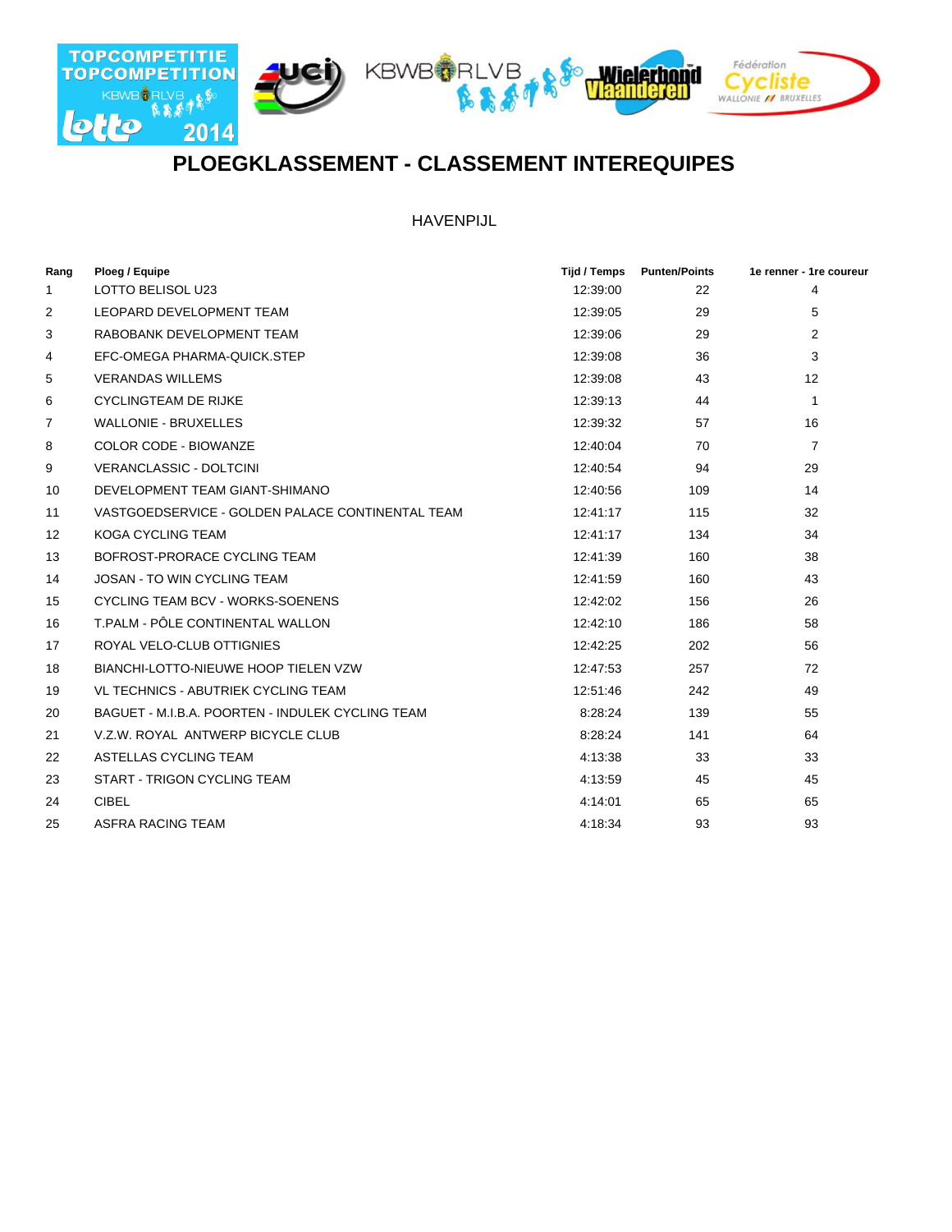

## **PLOEGKLASSEMENT - CLASSEMENT INTEREQUIPES**

HAVENPIJL

| Rang | Ploeg / Equipe                                   | Tijd / Temps | <b>Punten/Points</b> | 1e renner - 1re coureur |
|------|--------------------------------------------------|--------------|----------------------|-------------------------|
| 1    | LOTTO BELISOL U23                                | 12:39:00     | 22                   | 4                       |
| 2    | LEOPARD DEVELOPMENT TEAM                         | 12:39:05     | 29                   | 5                       |
| 3    | RABOBANK DEVELOPMENT TEAM                        | 12:39:06     | 29                   | 2                       |
| 4    | EFC-OMEGA PHARMA-QUICK.STEP                      | 12:39:08     | 36                   | 3                       |
| 5    | <b>VERANDAS WILLEMS</b>                          | 12:39:08     | 43                   | 12                      |
| 6    | <b>CYCLINGTEAM DE RIJKE</b>                      | 12:39:13     | 44                   | $\mathbf{1}$            |
| 7    | <b>WALLONIE - BRUXELLES</b>                      | 12:39:32     | 57                   | 16                      |
| 8    | COLOR CODE - BIOWANZE                            | 12:40:04     | 70                   | $\overline{7}$          |
| 9    | <b>VERANCLASSIC - DOLTCINI</b>                   | 12:40:54     | 94                   | 29                      |
| 10   | DEVELOPMENT TEAM GIANT-SHIMANO                   | 12:40:56     | 109                  | 14                      |
| 11   | VASTGOEDSERVICE - GOLDEN PALACE CONTINENTAL TEAM | 12:41:17     | 115                  | 32                      |
| 12   | KOGA CYCLING TEAM                                | 12:41:17     | 134                  | 34                      |
| 13   | BOFROST-PRORACE CYCLING TEAM                     | 12:41:39     | 160                  | 38                      |
| 14   | <b>JOSAN - TO WIN CYCLING TEAM</b>               | 12:41:59     | 160                  | 43                      |
| 15   | CYCLING TEAM BCV - WORKS-SOENENS                 | 12:42:02     | 156                  | 26                      |
| 16   | T.PALM - PÔLE CONTINENTAL WALLON                 | 12:42:10     | 186                  | 58                      |
| 17   | ROYAL VELO-CLUB OTTIGNIES                        | 12:42:25     | 202                  | 56                      |
| 18   | BIANCHI-LOTTO-NIEUWE HOOP TIELEN VZW             | 12:47:53     | 257                  | 72                      |
| 19   | VL TECHNICS - ABUTRIEK CYCLING TEAM              | 12:51:46     | 242                  | 49                      |
| 20   | BAGUET - M.I.B.A. POORTEN - INDULEK CYCLING TEAM | 8:28:24      | 139                  | 55                      |
| 21   | V.Z.W. ROYAL ANTWERP BICYCLE CLUB                | 8:28:24      | 141                  | 64                      |
| 22   | ASTELLAS CYCLING TEAM                            | 4:13:38      | 33                   | 33                      |
| 23   | START - TRIGON CYCLING TEAM                      | 4:13:59      | 45                   | 45                      |
| 24   | <b>CIBEL</b>                                     | 4:14:01      | 65                   | 65                      |
| 25   | ASFRA RACING TEAM                                | 4:18:34      | 93                   | 93                      |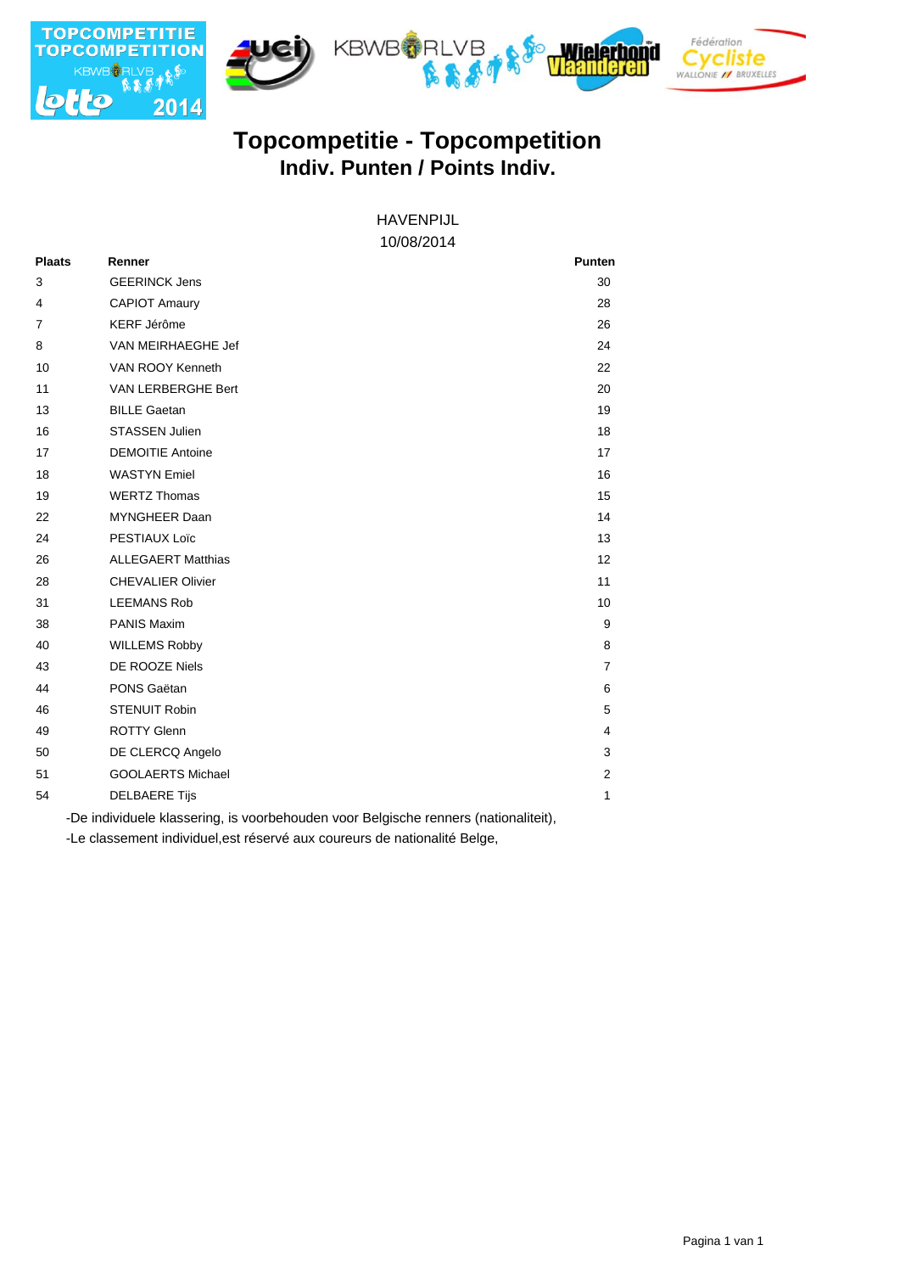

# **Indiv. Punten / Points Indiv. Topcompetitie - Topcompetition**

#### 10/08/2014 HAVENPIJL

| <b>Plaats</b>  | Renner                    | <b>Punten</b>  |
|----------------|---------------------------|----------------|
| 3              | <b>GEERINCK Jens</b>      | 30             |
| 4              | <b>CAPIOT Amaury</b>      | 28             |
| $\overline{7}$ | <b>KERF Jérôme</b>        | 26             |
| 8              | VAN MEIRHAEGHE Jef        | 24             |
| 10             | VAN ROOY Kenneth          | 22             |
| 11             | VAN LERBERGHE Bert        | 20             |
| 13             | <b>BILLE Gaetan</b>       | 19             |
| 16             | <b>STASSEN Julien</b>     | 18             |
| 17             | <b>DEMOITIE Antoine</b>   | 17             |
| 18             | <b>WASTYN Emiel</b>       | 16             |
| 19             | <b>WERTZ Thomas</b>       | 15             |
| 22             | MYNGHEER Daan             | 14             |
| 24             | PESTIAUX Loïc             | 13             |
| 26             | <b>ALLEGAERT Matthias</b> | 12             |
| 28             | <b>CHEVALIER Olivier</b>  | 11             |
| 31             | <b>LEEMANS Rob</b>        | 10             |
| 38             | <b>PANIS Maxim</b>        | 9              |
| 40             | <b>WILLEMS Robby</b>      | 8              |
| 43             | DE ROOZE Niels            | $\overline{7}$ |
| 44             | PONS Gaëtan               | 6              |
| 46             | <b>STENUIT Robin</b>      | 5              |
| 49             | <b>ROTTY Glenn</b>        | 4              |
| 50             | DE CLERCQ Angelo          | 3              |
| 51             | <b>GOOLAERTS Michael</b>  | 2              |
| 54             | <b>DELBAERE Tijs</b>      | 1              |

-De individuele klassering, is voorbehouden voor Belgische renners (nationaliteit),

-Le classement individuel,est réservé aux coureurs de nationalité Belge,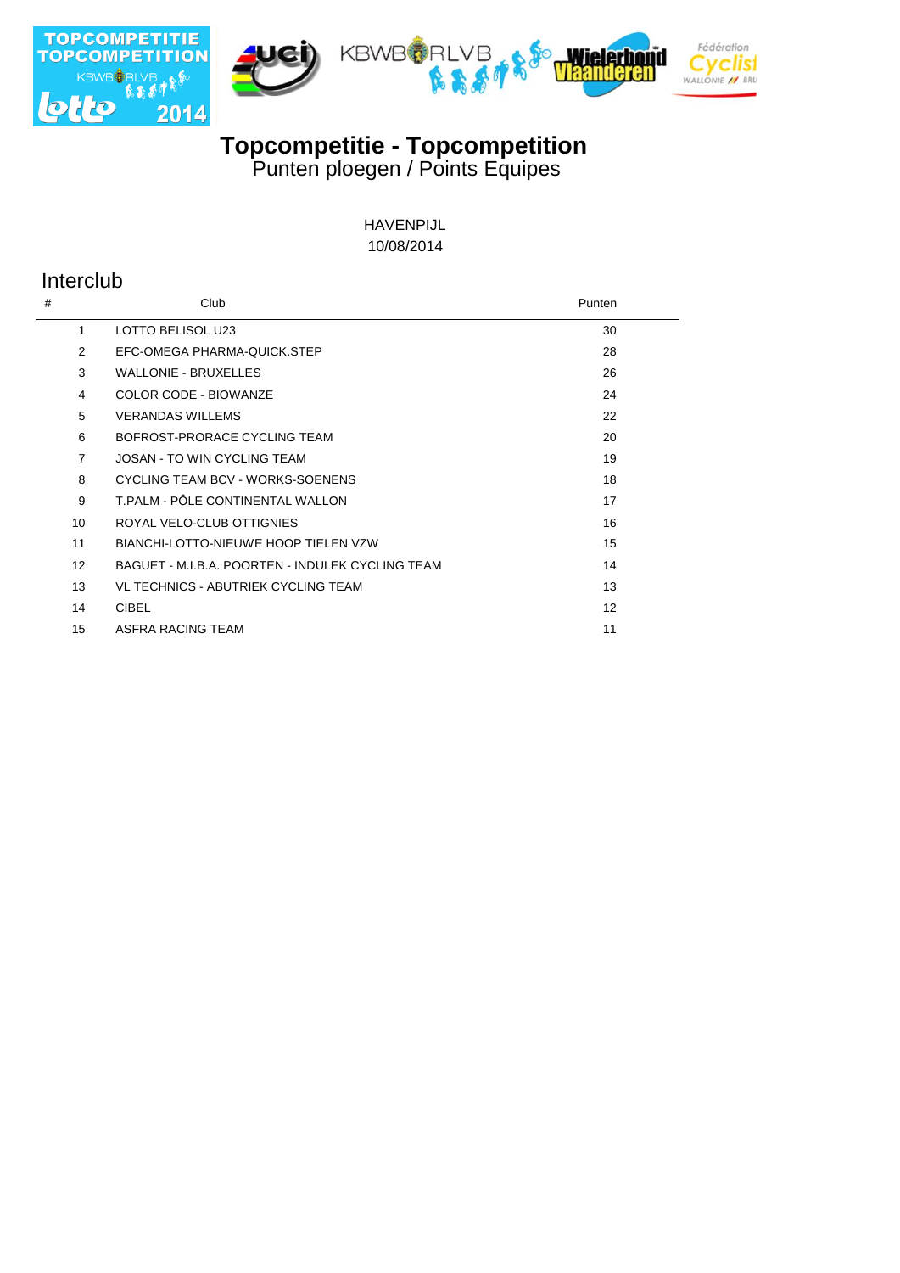







**Topcompetitie - Topcompetition** 

Punten ploegen / Points Equipes

10/08/2014 HAVENPIJL

## Interclub

| #                 | Club                                             | Punten |
|-------------------|--------------------------------------------------|--------|
| 1                 | LOTTO BELISOL U23                                | 30     |
| $\mathcal{P}$     | EFC-OMEGA PHARMA-QUICK.STEP                      | 28     |
| 3                 | <b>WALLONIE - BRUXELLES</b>                      | 26     |
| 4                 | COLOR CODE - BIOWANZE                            | 24     |
| 5                 | <b>VERANDAS WILLEMS</b>                          | 22     |
| 6                 | BOFROST-PRORACE CYCLING TEAM                     | 20     |
| $\overline{7}$    | <b>JOSAN - TO WIN CYCLING TEAM</b>               | 19     |
| 8                 | CYCLING TEAM BCV - WORKS-SOENENS                 | 18     |
| 9                 | T.PALM - PÔLE CONTINENTAL WALLON                 | 17     |
| 10                | ROYAL VELO-CLUB OTTIGNIES                        | 16     |
| 11                | BIANCHI-LOTTO-NIEUWE HOOP TIELEN VZW             | 15     |
| $12 \overline{ }$ | BAGUET - M.I.B.A. POORTEN - INDULEK CYCLING TEAM | 14     |
| 13                | VL TECHNICS - ABUTRIEK CYCLING TEAM              | 13     |
| 14                | <b>CIBEL</b>                                     | 12     |
| 15                | ASFRA RACING TEAM                                | 11     |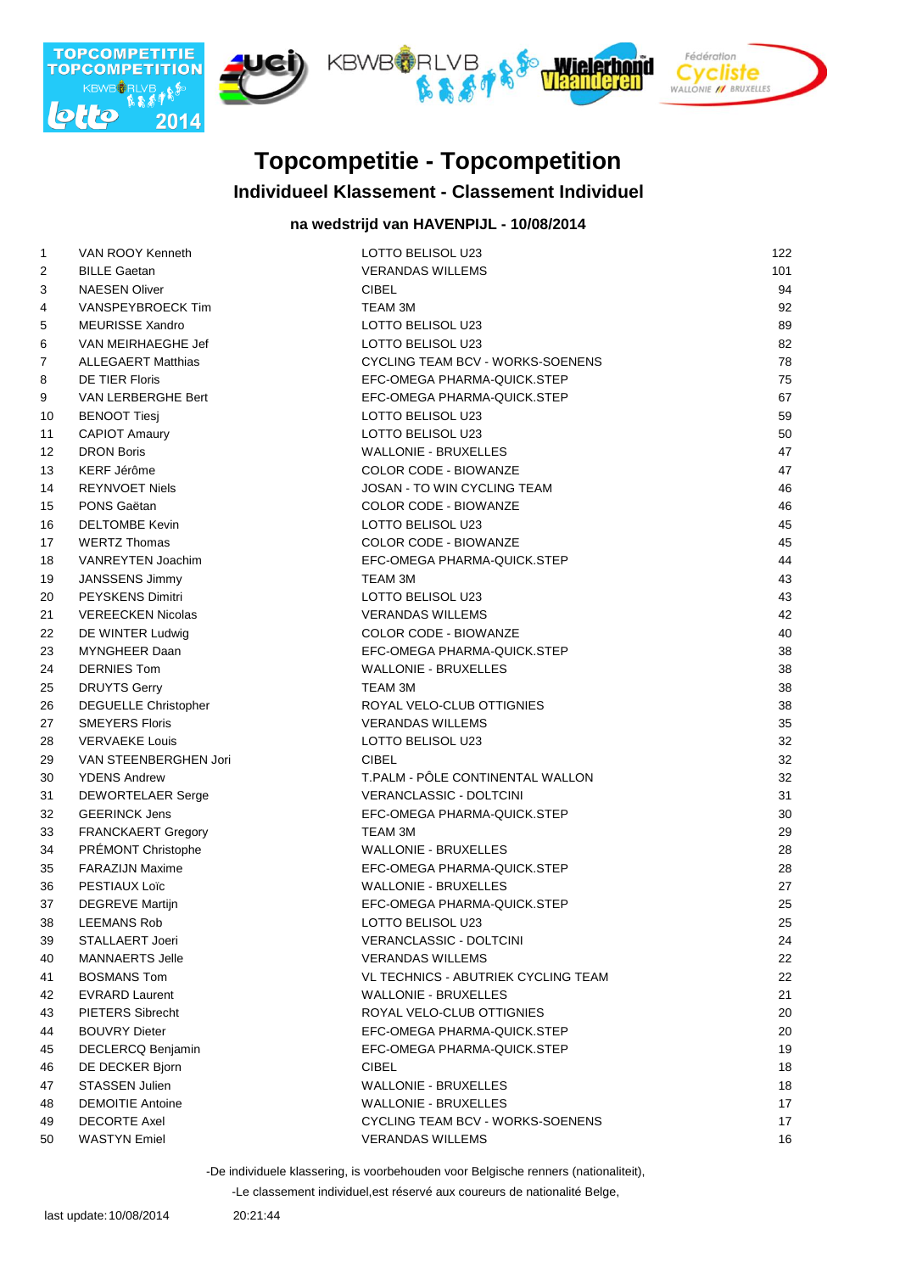

# **Topcompetitie - Topcompetition**

### **Individueel Klassement - Classement Individuel**

### **na wedstrijd van HAVENPIJL - 10/08/2014**

| $\mathbf{1}$ | VAN ROOY Kenneth            | LOTTO BELISOL U23                   | 122 |
|--------------|-----------------------------|-------------------------------------|-----|
| 2            | <b>BILLE Gaetan</b>         | <b>VERANDAS WILLEMS</b>             | 101 |
| 3            | <b>NAESEN Oliver</b>        | <b>CIBEL</b>                        | 94  |
| 4            | VANSPEYBROECK Tim           | TEAM 3M                             | 92  |
| 5            | <b>MEURISSE Xandro</b>      | LOTTO BELISOL U23                   | 89  |
| 6            | VAN MEIRHAEGHE Jef          | LOTTO BELISOL U23                   | 82  |
| 7            | <b>ALLEGAERT Matthias</b>   | CYCLING TEAM BCV - WORKS-SOENENS    | 78  |
| 8            | <b>DE TIER Floris</b>       | EFC-OMEGA PHARMA-QUICK.STEP         | 75  |
| 9            | VAN LERBERGHE Bert          | EFC-OMEGA PHARMA-QUICK.STEP         | 67  |
| 10           | <b>BENOOT Tiesj</b>         | LOTTO BELISOL U23                   | 59  |
| 11           | <b>CAPIOT Amaury</b>        | LOTTO BELISOL U23                   | 50  |
| 12           | <b>DRON Boris</b>           | WALLONIE - BRUXELLES                | 47  |
| 13           | KERF Jérôme                 | <b>COLOR CODE - BIOWANZE</b>        | 47  |
| 14           | <b>REYNVOET Niels</b>       | JOSAN - TO WIN CYCLING TEAM         | 46  |
| 15           | PONS Gaëtan                 | <b>COLOR CODE - BIOWANZE</b>        | 46  |
| 16           | <b>DELTOMBE Kevin</b>       | LOTTO BELISOL U23                   | 45  |
| 17           | <b>WERTZ Thomas</b>         | COLOR CODE - BIOWANZE               | 45  |
| 18           | VANREYTEN Joachim           | EFC-OMEGA PHARMA-QUICK.STEP         | 44  |
| 19           | JANSSENS Jimmy              | <b>TEAM 3M</b>                      | 43  |
| 20           | <b>PEYSKENS Dimitri</b>     | LOTTO BELISOL U23                   | 43  |
| 21           | <b>VEREECKEN Nicolas</b>    | <b>VERANDAS WILLEMS</b>             | 42  |
| 22           | DE WINTER Ludwig            | <b>COLOR CODE - BIOWANZE</b>        | 40  |
| 23           | MYNGHEER Daan               | EFC-OMEGA PHARMA-QUICK.STEP         | 38  |
| 24           | <b>DERNIES Tom</b>          | <b>WALLONIE - BRUXELLES</b>         | 38  |
| 25           | <b>DRUYTS Gerry</b>         | <b>TEAM 3M</b>                      | 38  |
| 26           | <b>DEGUELLE Christopher</b> | ROYAL VELO-CLUB OTTIGNIES           | 38  |
| 27           | <b>SMEYERS Floris</b>       | <b>VERANDAS WILLEMS</b>             | 35  |
| 28           | <b>VERVAEKE Louis</b>       | LOTTO BELISOL U23                   | 32  |
| 29           | VAN STEENBERGHEN Jori       | <b>CIBEL</b>                        | 32  |
| 30           | <b>YDENS Andrew</b>         | T.PALM - PÔLE CONTINENTAL WALLON    | 32  |
| 31           | <b>DEWORTELAER Serge</b>    | <b>VERANCLASSIC - DOLTCINI</b>      | 31  |
| 32           | <b>GEERINCK Jens</b>        | EFC-OMEGA PHARMA-QUICK.STEP         | 30  |
| 33           | FRANCKAERT Gregory          | TEAM 3M                             | 29  |
| 34           | PRÉMONT Christophe          | <b>WALLONIE - BRUXELLES</b>         | 28  |
| 35           | <b>FARAZIJN Maxime</b>      | EFC-OMEGA PHARMA-QUICK.STEP         | 28  |
| 36           | PESTIAUX Loïc               | <b>WALLONIE - BRUXELLES</b>         | 27  |
| 37           | DEGREVE Martijn             | EFC-OMEGA PHARMA-QUICK.STEP         | 25  |
| 38           | LEEMANS Rob                 | LOTTO BELISOL U23                   | 25  |
| 39           | <b>STALLAERT Joeri</b>      | <b>VERANCLASSIC - DOLTCINI</b>      | 24  |
| 40           | <b>MANNAERTS Jelle</b>      | <b>VERANDAS WILLEMS</b>             | 22  |
| 41           | <b>BOSMANS Tom</b>          | VL TECHNICS - ABUTRIEK CYCLING TEAM | 22  |
| 42           | <b>EVRARD Laurent</b>       | <b>WALLONIE - BRUXELLES</b>         | 21  |
| 43           | <b>PIETERS Sibrecht</b>     | ROYAL VELO-CLUB OTTIGNIES           | 20  |
| 44           | <b>BOUVRY Dieter</b>        | EFC-OMEGA PHARMA-QUICK.STEP         | 20  |
| 45           | <b>DECLERCQ Benjamin</b>    | EFC-OMEGA PHARMA-QUICK.STEP         | 19  |
| 46           | DE DECKER Bjorn             | <b>CIBEL</b>                        | 18  |
| 47           | <b>STASSEN Julien</b>       | <b>WALLONIE - BRUXELLES</b>         | 18  |
| 48           | <b>DEMOITIE Antoine</b>     | <b>WALLONIE - BRUXELLES</b>         | 17  |
| 49           | <b>DECORTE Axel</b>         | CYCLING TEAM BCV - WORKS-SOENENS    | 17  |
| 50           | <b>WASTYN</b> Emiel         | <b>VERANDAS WILLEMS</b>             | 16  |

-De individuele klassering, is voorbehouden voor Belgische renners (nationaliteit),

-Le classement individuel,est réservé aux coureurs de nationalité Belge,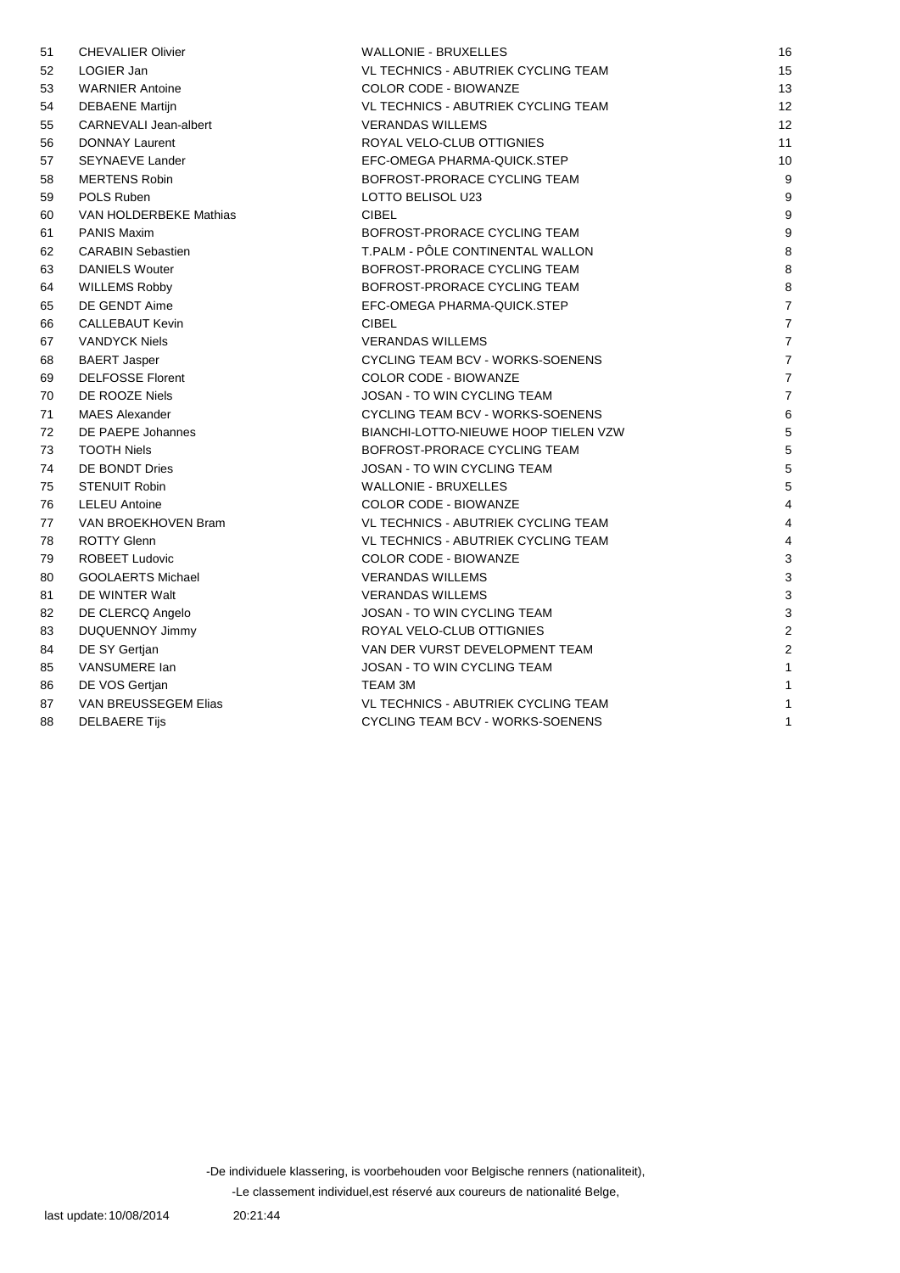| 51 | <b>CHEVALIER Olivier</b> | <b>WALLONIE - BRUXELLES</b>                | 16             |
|----|--------------------------|--------------------------------------------|----------------|
| 52 | LOGIER Jan               | <b>VL TECHNICS - ABUTRIEK CYCLING TEAM</b> | 15             |
| 53 | <b>WARNIER Antoine</b>   | <b>COLOR CODE - BIOWANZE</b>               | 13             |
| 54 | <b>DEBAENE Martijn</b>   | VL TECHNICS - ABUTRIEK CYCLING TEAM        | 12             |
| 55 | CARNEVALI Jean-albert    | <b>VERANDAS WILLEMS</b>                    | 12             |
| 56 | <b>DONNAY Laurent</b>    | ROYAL VELO-CLUB OTTIGNIES                  | 11             |
| 57 | <b>SEYNAEVE Lander</b>   | EFC-OMEGA PHARMA-QUICK.STEP                | 10             |
| 58 | <b>MERTENS Robin</b>     | BOFROST-PRORACE CYCLING TEAM               | 9              |
| 59 | POLS Ruben               | LOTTO BELISOL U23                          | 9              |
| 60 | VAN HOLDERBEKE Mathias   | <b>CIBEL</b>                               | 9              |
| 61 | <b>PANIS Maxim</b>       | BOFROST-PRORACE CYCLING TEAM               | 9              |
| 62 | <b>CARABIN Sebastien</b> | T.PALM - PÔLE CONTINENTAL WALLON           | 8              |
| 63 | <b>DANIELS Wouter</b>    | BOFROST-PRORACE CYCLING TEAM               | 8              |
| 64 | <b>WILLEMS Robby</b>     | BOFROST-PRORACE CYCLING TEAM               | 8              |
| 65 | DE GENDT Aime            | EFC-OMEGA PHARMA-QUICK.STEP                | 7              |
| 66 | <b>CALLEBAUT Kevin</b>   | <b>CIBEL</b>                               | $\overline{7}$ |
| 67 | <b>VANDYCK Niels</b>     | <b>VERANDAS WILLEMS</b>                    | $\overline{7}$ |
| 68 | <b>BAERT Jasper</b>      | CYCLING TEAM BCV - WORKS-SOENENS           | $\overline{7}$ |
| 69 | <b>DELFOSSE Florent</b>  | <b>COLOR CODE - BIOWANZE</b>               | $\overline{7}$ |
| 70 | DE ROOZE Niels           | <b>JOSAN - TO WIN CYCLING TEAM</b>         | $\overline{7}$ |
| 71 | <b>MAES Alexander</b>    | CYCLING TEAM BCV - WORKS-SOENENS           | 6              |
| 72 | DE PAEPE Johannes        | BIANCHI-LOTTO-NIEUWE HOOP TIELEN VZW       | 5              |
| 73 | <b>TOOTH Niels</b>       | BOFROST-PRORACE CYCLING TEAM               | 5              |
| 74 | DE BONDT Dries           | JOSAN - TO WIN CYCLING TEAM                | 5              |
| 75 | <b>STENUIT Robin</b>     | <b>WALLONIE - BRUXELLES</b>                | 5              |
| 76 | <b>LELEU Antoine</b>     | <b>COLOR CODE - BIOWANZE</b>               | $\overline{4}$ |
| 77 | VAN BROEKHOVEN Bram      | VL TECHNICS - ABUTRIEK CYCLING TEAM        | 4              |
| 78 | <b>ROTTY Glenn</b>       | VL TECHNICS - ABUTRIEK CYCLING TEAM        | $\overline{4}$ |
| 79 | <b>ROBEET Ludovic</b>    | COLOR CODE - BIOWANZE                      | 3              |
| 80 | <b>GOOLAERTS Michael</b> | <b>VERANDAS WILLEMS</b>                    | 3              |
| 81 | DE WINTER Walt           | <b>VERANDAS WILLEMS</b>                    | 3              |
| 82 | DE CLERCQ Angelo         | JOSAN - TO WIN CYCLING TEAM                | 3              |
| 83 | <b>DUQUENNOY Jimmy</b>   | ROYAL VELO-CLUB OTTIGNIES                  | $\overline{2}$ |
| 84 | DE SY Gertjan            | VAN DER VURST DEVELOPMENT TEAM             | $\overline{2}$ |
| 85 | VANSUMERE lan            | <b>JOSAN - TO WIN CYCLING TEAM</b>         | 1              |
| 86 | DE VOS Gertjan           | <b>TEAM 3M</b>                             | 1              |
| 87 | VAN BREUSSEGEM Elias     | VL TECHNICS - ABUTRIEK CYCLING TEAM        | 1              |
| 88 | <b>DELBAERE Tijs</b>     | CYCLING TEAM BCV - WORKS-SOENENS           | $\mathbf{1}$   |

-De individuele klassering, is voorbehouden voor Belgische renners (nationaliteit),

-Le classement individuel,est réservé aux coureurs de nationalité Belge,